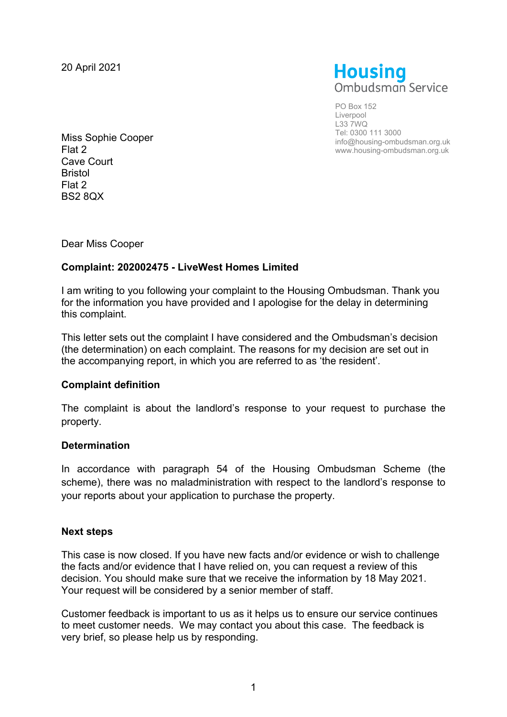20 April 2021



PO Box 152 Liverpool L33 7WQ Tel: 0300 111 3000 info@housing-ombudsman.org.uk www.housing-ombudsman.org.uk

Miss Sophie Cooper Flat 2 Cave Court Bristol Flat 2 BS2 8QX

Dear Miss Cooper

## **Complaint: 202002475 - LiveWest Homes Limited**

I am writing to you following your complaint to the Housing Ombudsman. Thank you for the information you have provided and I apologise for the delay in determining this complaint.

This letter sets out the complaint I have considered and the Ombudsman's decision (the determination) on each complaint. The reasons for my decision are set out in the accompanying report, in which you are referred to as 'the resident'.

## **Complaint definition**

The complaint is about the landlord's response to your request to purchase the property.

## **Determination**

In accordance with paragraph 54 of the Housing Ombudsman Scheme (the scheme), there was no maladministration with respect to the landlord's response to your reports about your application to purchase the property.

## **Next steps**

This case is now closed. If you have new facts and/or evidence or wish to challenge the facts and/or evidence that I have relied on, you can request a review of this decision. You should make sure that we receive the information by 18 May 2021. Your request will be considered by a senior member of staff.

Customer feedback is important to us as it helps us to ensure our service continues to meet customer needs. We may contact you about this case. The feedback is very brief, so please help us by responding.